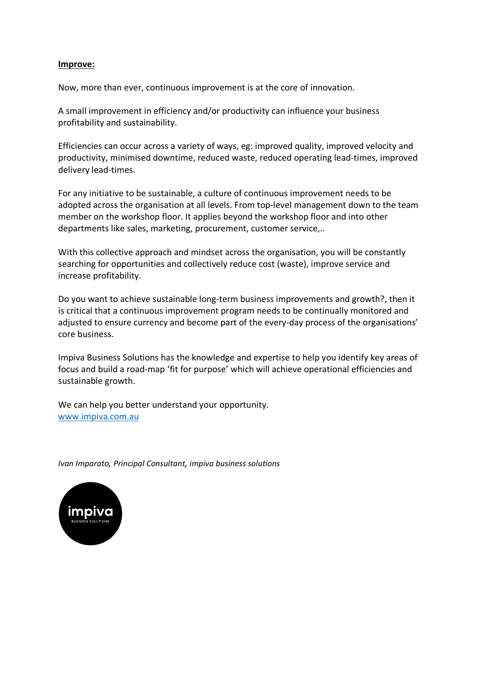#### **Improve:**

Now, more than ever, continuous improvement is at the core of innovation.

A small improvement in efficiency and/or productivity can influence your business profitability and sustainability.

Efficiencies can occur across a variety of ways, eg: improved quality, improved velocity and productivity, minimised downtime, reduced waste, reduced operating lead-times, improved delivery lead-times.

For any initiative to be sustainable, a culture of continuous improvement needs to be adopted across the organisation at all levels. From top-level management down to the team member on the workshop floor. It applies beyond the workshop floor and into other departments like sales, marketing, procurement, customer service,..

With this collective approach and mindset across the organisation, you will be constantly searching for opportunities and collectively reduce cost (waste), improve service and increase profitability.

Do you want to achieve sustainable long-term business improvements and growth?, then it is critical that a continuous improvement program needs to be continually monitored and adjusted to ensure currency and become part of the every-day process of the organisations' core business.

Impiva Business Solutions has the knowledge and expertise to help you identify key areas of focus and build a road-map 'fit for purpose' which will achieve operational efficiencies and sustainable growth.

We can help you better understand your opportunity. www.impiva.com.au

*Ivan Imparato, Principal Consultant, impiva business solutions*